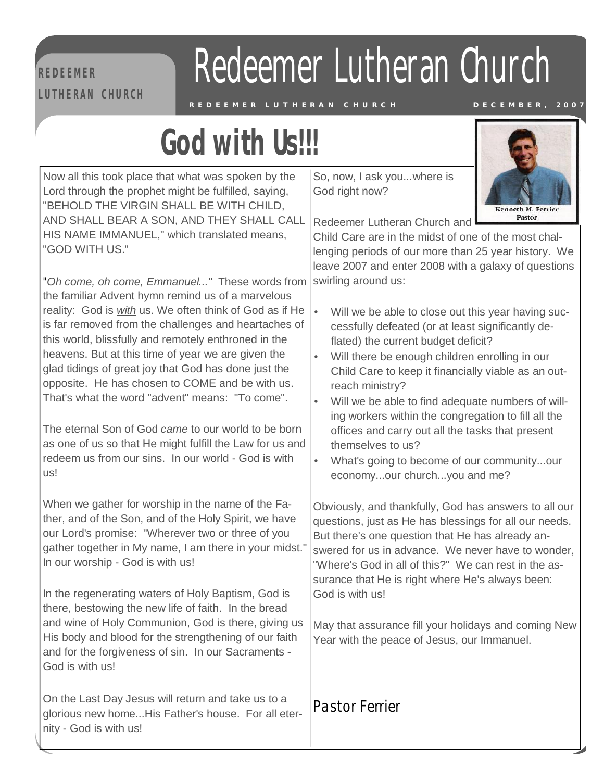#### **R E D EE M ER L U T H E RA N C H U RC H**

## Redeemer Lutheran Church

REDEEMER LUTHERAN CHURCH DECEMBER, 2001

## $\frac{R}{\sqrt{2}}$ **God with Us!!!**

Now all this took place that what was spoken by the Lord through the prophet might be fulfilled, saying, "BEHOLD THE VIRGIN SHALL BE WITH CHILD, AND SHALL BEAR A SON, AND THEY SHALL CALL HIS NAME IMMANUEL," which translated means, "GOD WITH US."

*"Oh come, oh come, Emmanuel..."* These words from the familiar Advent hymn remind us of a marvelous reality: God is *with* us. We often think of God as if He is far removed from the challenges and heartaches of this world, blissfully and remotely enthroned in the heavens. But at this time of year we are given the glad tidings of great joy that God has done just the opposite. He has chosen to COME and be with us. That's what the word "advent" means: "To come".

The eternal Son of God *came* to our world to be born as one of us so that He might fulfill the Law for us and redeem us from our sins. In our world - God is with us!

When we gather for worship in the name of the Father, and of the Son, and of the Holy Spirit, we have our Lord's promise: "Wherever two or three of you gather together in My name, I am there in your midst." In our worship - God is with us!

In the regenerating waters of Holy Baptism, God is there, bestowing the new life of faith. In the bread and wine of Holy Communion, God is there, giving us His body and blood for the strengthening of our faith and for the forgiveness of sin. In our Sacraments - God is with us!

On the Last Day Jesus will return and take us to a glorious new home...His Father's house. For all eternity - God is with us!

So, now, I ask you...where is God right now?



Redeemer Lutheran Church and

Child Care are in the midst of one of the most challenging periods of our more than 25 year history. We leave 2007 and enter 2008 with a galaxy of questions swirling around us:

- Will we be able to close out this year having successfully defeated (or at least significantly deflated) the current budget deficit?
- Will there be enough children enrolling in our Child Care to keep it financially viable as an outreach ministry?
- Will we be able to find adequate numbers of willing workers within the congregation to fill all the offices and carry out all the tasks that present themselves to us?
- What's going to become of our community...our economy...our church...you and me?

Obviously, and thankfully, God has answers to all our questions, just as He has blessings for all our needs. But there's one question that He has already answered for us in advance. We never have to wonder, "Where's God in all of this?" We can rest in the assurance that He is right where He's always been: God is with us!

May that assurance fill your holidays and coming New Year with the peace of Jesus, our Immanuel.

*Pastor Ferrier*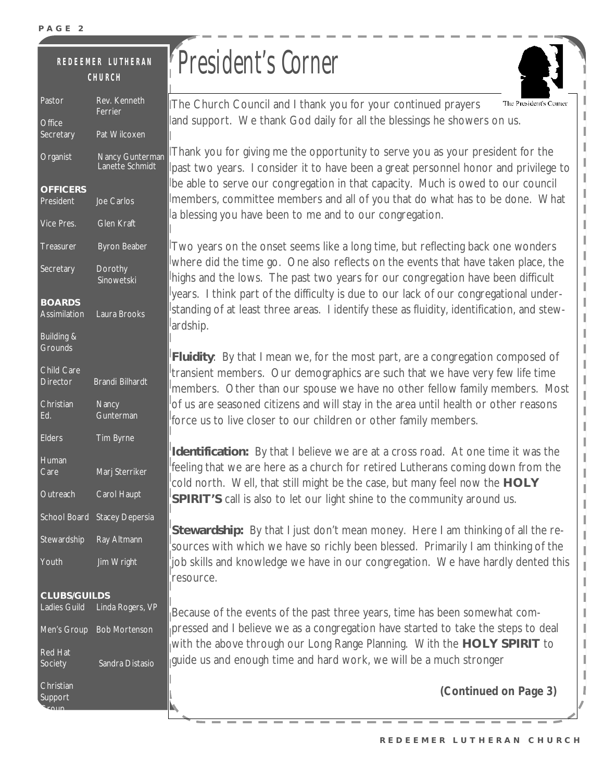#### Pastor Rev. Kenneth **R E D E E M ER L U T H E RA N C H U RC H**

| Pastor                        | Rev. Kenneth<br>Ferrier            |
|-------------------------------|------------------------------------|
| <b>Office</b><br>Secretary    | Pat Wilcoxen                       |
| Organist                      | Nancy Gunterman<br>Lanette Schmidt |
| <b>OFFICERS</b><br>President  | Joe Carlos                         |
| Vice Pres.                    | <b>Glen Kraft</b>                  |
| Treasurer                     | <b>Byron Beaber</b>                |
| Secretary                     | Dorothy<br>Sinowetski              |
| <b>BOARDS</b><br>Assimilation | Laura Brooks                       |
| Building &<br><b>Grounds</b>  |                                    |
| Child Care<br><b>Director</b> | <b>Brandi Bilhardt</b>             |
| Christian                     | <b>Nancy</b>                       |
| Ed.                           | Gunterman                          |
| <b>Elders</b>                 | Tim Byrne                          |
| Human<br>Care                 | Marj Sterriker                     |
| Outreach                      | Carol Haupt                        |
| <b>School Board</b>           | <b>Stacey Depersia</b>             |
| Stewardship                   | Ray Altmann                        |
| Youth                         | Jim Wright                         |
| <b>CLUBS/GUILDS</b>           | Ladies Guild Linda Rogers, VP      |
|                               | Men's Group Bob Mortenson          |
| Red Hat<br>Society            | Sandra Distasio                    |

**Scoup** 

## President's Corner

The Church Council and I thank you for your continued prayers The President's Con and support. We thank God daily for all the blessings he showers on us.

Thank you for giving me the opportunity to serve you as your president for the past two years. I consider it to have been a great personnel honor and privilege to be able to serve our congregation in that capacity. Much is owed to our council members, committee members and all of you that do what has to be done. What a blessing you have been to me and to our congregation.

Two years on the onset seems like a long time, but reflecting back one wonders where did the time go. One also reflects on the events that have taken place, the highs and the lows. The past two years for our congregation have been difficult years. I think part of the difficulty is due to our lack of our congregational understanding of at least three areas. I identify these as fluidity, identification, and stewardship.

**Fluidity**: By that I mean we, for the most part, are a congregation composed of transient members. Our demographics are such that we have very few life time members. Other than our spouse we have no other fellow family members. Most of us are seasoned citizens and will stay in the area until health or other reasons force us to live closer to our children or other family members.

**Identification:** By that I believe we are at a cross road. At one time it was the feeling that we are here as a church for retired Lutherans coming down from the cold north. Well, that still might be the case, but many feel now the **HOLY SPIRIT'S** call is also to let our light shine to the community around us.

**Stewardship:** By that I just don't mean money. Here I am thinking of all the resources with which we have so richly been blessed. Primarily I am thinking of the job skills and knowledge we have in our congregation. We have hardly dented this resource.

Because of the events of the past three years, time has been somewhat compressed and I believe we as a congregation have started to take the steps to deal with the above through our Long Range Planning. With the **HOLY SPIRIT** to guide us and enough time and hard work, we will be a much stronger

*(Continued on Page 3)*

ı

ı

I

I ľ

I I

I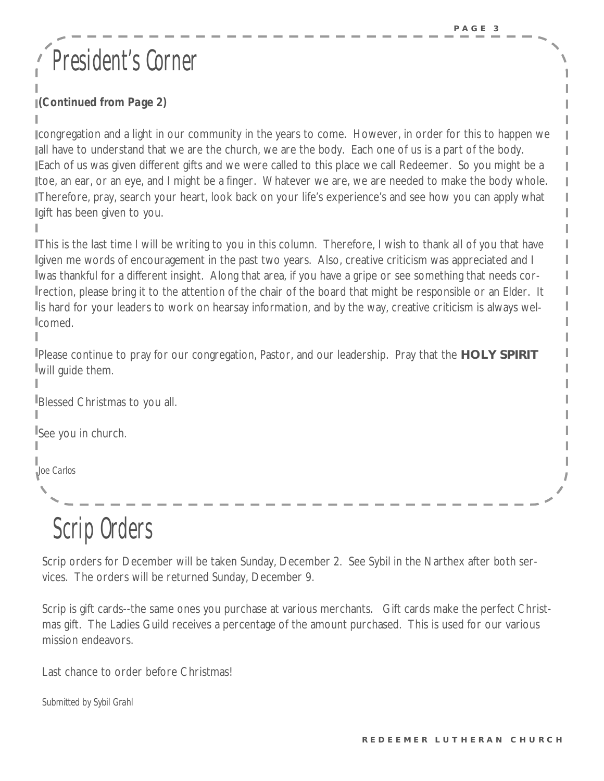## President' s Corner

#### *(Continued from Page 2)*

congregation and a light in our community in the years to come. However, in order for this to happen we all have to understand that we are the church, we are the body. Each one of us is a part of the body. Each of us was given different gifts and we were called to this place we call Redeemer. So you might be a toe, an ear, or an eye, and I might be a finger. Whatever we are, we are needed to make the body whole. Therefore, pray, search your heart, look back on your life's experience's and see how you can apply what gift has been given to you.

This is the last time I will be writing to you in this column. Therefore, I wish to thank all of you that have Igiven me words of encouragement in the past two years. Also, creative criticism was appreciated and I was thankful for a different insight. Along that area, if you have a gripe or see something that needs correction, please bring it to the attention of the chair of the board that might be responsible or an Elder. It lis hard for your leaders to work on hearsay information, and by the way, creative criticism is always welcomed.

Please continue to pray for our congregation, Pastor, and our leadership. Pray that the **HOLY SPIRIT**  will guide them.

Blessed Christmas to you all.

See you in church.

*Joe Carlos*

## Scrip Orders

Scrip orders for December will be taken Sunday, December 2. See Sybil in the Narthex after both services. The orders will be returned Sunday, December 9.

Scrip is gift cards--the same ones you purchase at various merchants. Gift cards make the perfect Christmas gift. The Ladies Guild receives a percentage of the amount purchased. This is used for our various mission endeavors.

Last chance to order before Christmas!

*Submitted by Sybil Grahl*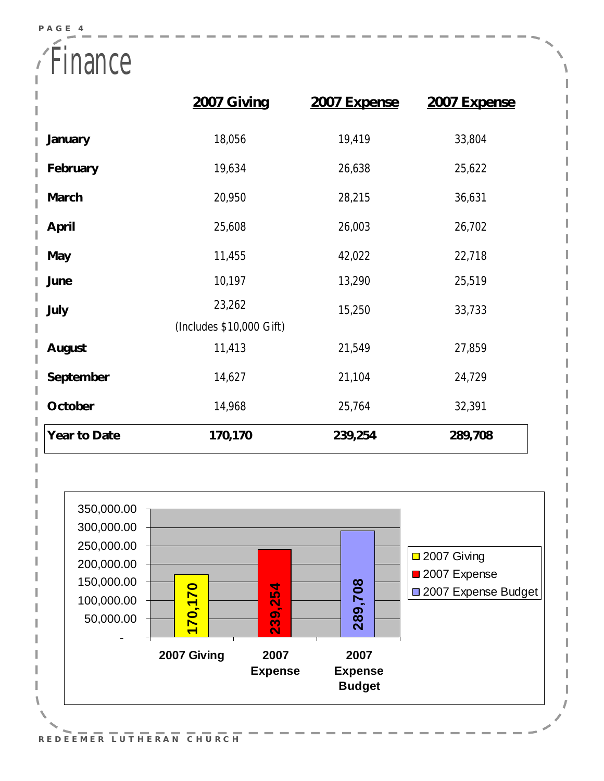**Finance** 

|              | 2007 Giving              | 2007 Expense | 2007 Expense |
|--------------|--------------------------|--------------|--------------|
| January      | 18,056                   | 19,419       | 33,804       |
| February     | 19,634                   | 26,638       | 25,622       |
| March        | 20,950                   | 28,215       | 36,631       |
| April        | 25,608                   | 26,003       | 26,702       |
| May          | 11,455                   | 42,022       | 22,718       |
| June         | 10,197                   | 13,290       | 25,519       |
| July         | 23,262                   | 15,250       | 33,733       |
|              | (Includes \$10,000 Gift) |              |              |
| August       | 11,413                   | 21,549       | 27,859       |
| September    | 14,627                   | 21,104       | 24,729       |
| October      | 14,968                   | 25,764       | 32,391       |
| Year to Date | 170,170                  | 239,254      | 289,708      |

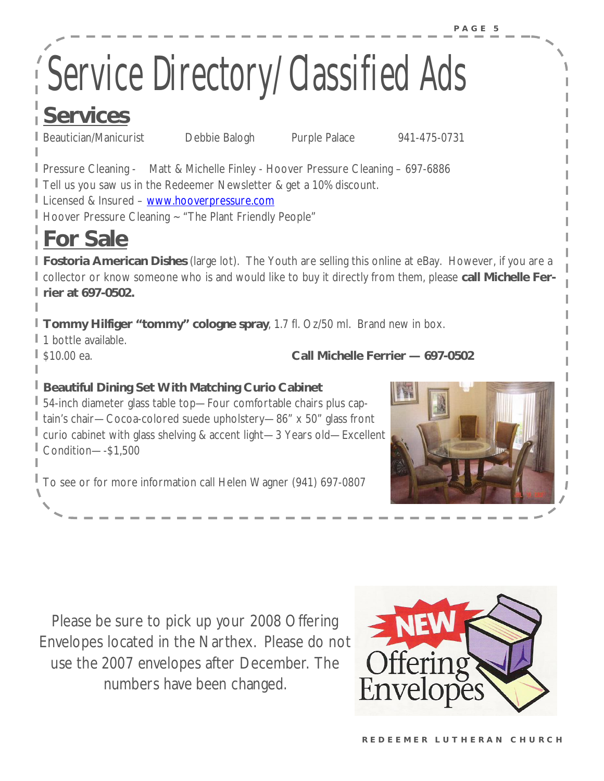# Service Directory/Classified Ads

### **Services**

Beautician/Manicurist Debbie Balogh Purple Palace 941-475-0731

Pressure Cleaning - Matt & Michelle Finley - Hoover Pressure Cleaning – 697-6886 Tell us you saw us in the Redeemer Newsletter & get a 10% discount. Licensed & Insured – [www.hooverpressure.com](http://www.hooverpressure.com) Hoover Pressure Cleaning ~ "The Plant Friendly People"

## **For Sale**

**Fostoria American Dishes** (large lot). The Youth are selling this online at eBay. However, if you are a collector or know someone who is and would like to buy it directly from them, please **call Michelle Ferrier at 697-0502.** 

**Tommy Hilfiger "tommy" cologne spray**, 1.7 fl. Oz/50 ml. Brand new in box.

<sup>1</sup> 1 bottle available.

\$10.00 ea. **Call Michelle Ferrier — 697-0502** 

**Beautiful Dining Set With Matching Curio Cabinet**

54-inch diameter glass table top—Four comfortable chairs plus captain's chair—Cocoa-colored suede upholstery—86" x 50" glass front curio cabinet with glass shelving & accent light—3 Years old—Excellent Condition—-\$1,500

To see or for more information call Helen Wagner (941) 697-0807



Please be sure to pick up your 2008 Offering Envelopes located in the Narthex. Please do not use the 2007 envelopes after December. The numbers have been changed.

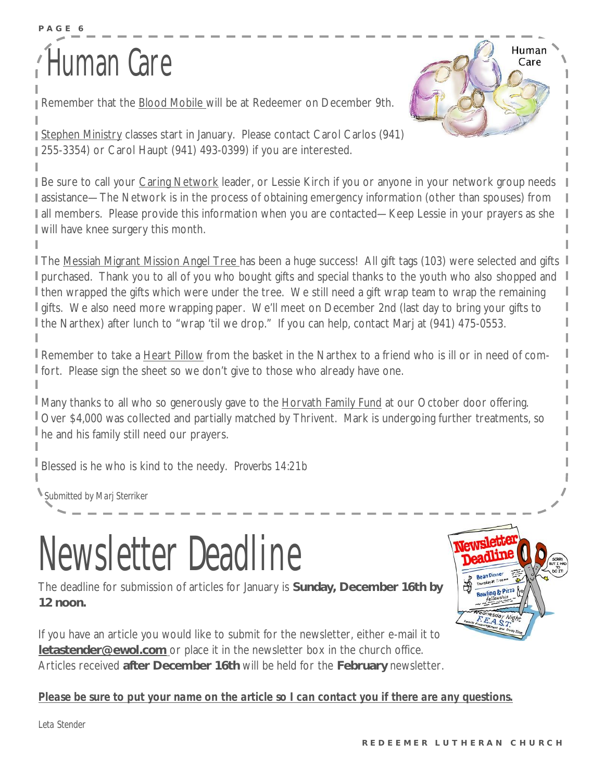# Human Care **Adams**

**P A G E 6** 

Remember that the Blood Mobile will be at Redeemer on December 9th.



Stephen Ministry classes start in January. Please contact Carol Carlos (941) 255-3354) or Carol Haupt (941) 493-0399) if you are interested.

Be sure to call your Caring Network leader, or Lessie Kirch if you or anyone in your network group needs assistance—The Network is in the process of obtaining emergency information (other than spouses) from I all members. Please provide this information when you are contacted—Keep Lessie in your prayers as she will have knee surgery this month.

**The Messiah Migrant Mission Angel Tree has been a huge success! All gift tags (103) were selected and gifts I** I purchased. Thank you to all of you who bought gifts and special thanks to the youth who also shopped and I then wrapped the gifts which were under the tree. We still need a gift wrap team to wrap the remaining I gifts. We also need more wrapping paper. We'll meet on December 2nd (last day to bring your gifts to I the Narthex) after lunch to "wrap 'til we drop." If you can help, contact Marj at (941) 475-0553.

Remember to take a Heart Pillow from the basket in the Narthex to a friend who is ill or in need of comfort. Please sign the sheet so we don't give to those who already have one.

Many thanks to all who so generously gave to the Horvath Family Fund at our October door offering. Over \$4,000 was collected and partially matched by Thrivent. Mark is undergoing further treatments, so he and his family still need our prayers.

Blessed is he who is kind to the needy. *Proverbs 14:21b* 

*Submitted by Marj Sterriker*

## Newsletter Deadline

The deadline for submission of articles for January is **Sunday, December 16th by 12 noon.** 

If you have an article you would like to submit for the newsletter, either e-mail it to **[letastender@ewol.com](mailto:letastender@ewol.com)** or place it in the newsletter box in the church office. Articles received **after December 16th** will be held for the **February** newsletter.



#### *Please be sure to put your name on the article so I can contact you if there are any questions.*

*Leta Stender*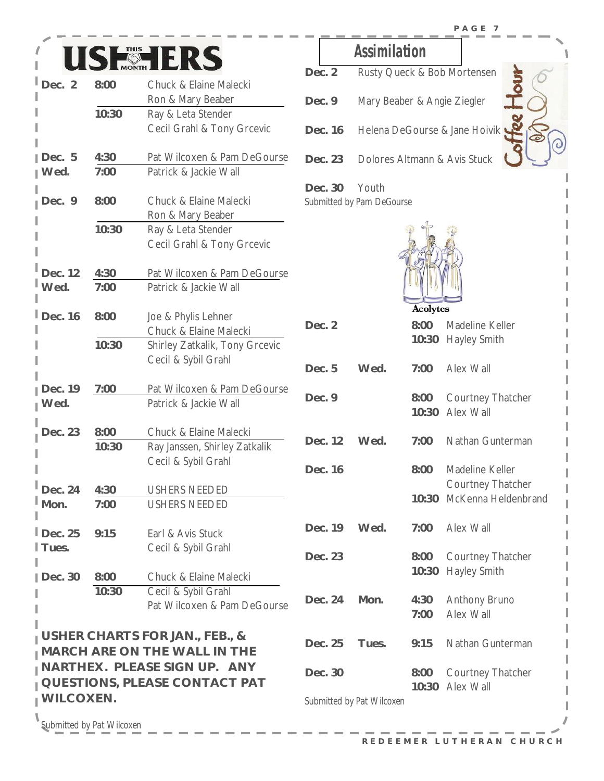



| Dec. 2               | 8:00  | Chuck & Elaine Malecki                |           |
|----------------------|-------|---------------------------------------|-----------|
|                      |       | Ron & Mary Beaber                     | Dec. 9    |
|                      | 10:30 | Ray & Leta Stender                    |           |
|                      |       | Cecil Grahl & Tony Grcevic            | Dec. 16   |
| Dec. 5               | 4:30  | Pat Wilcoxen & Pam DeGourse           | Dec. 23   |
| I Wed.               | 7:00  | Patrick & Jackie Wall                 |           |
|                      |       |                                       | Dec. 30   |
| Dec. 9               | 8:00  | Chuck & Elaine Malecki                | Submitted |
|                      |       | Ron & Mary Beaber                     |           |
|                      | 10:30 | Ray & Leta Stender                    |           |
|                      |       | Cecil Grahl & Tony Grcevic            |           |
| Dec. 12              | 4:30  | Pat Wilcoxen & Pam DeGourse           |           |
| Wed.                 | 7:00  | Patrick & Jackie Wall                 |           |
|                      |       |                                       |           |
| Dec. 16              | 8:00  | Joe & Phylis Lehner                   |           |
|                      |       | Chuck & Elaine Malecki                | Dec. 2    |
|                      | 10:30 | Shirley Zatkalik, Tony Grcevic        |           |
|                      |       | Cecil & Sybil Grahl                   |           |
|                      |       |                                       | Dec. 5    |
| Dec. 19              | 7:00  | Pat Wilcoxen & Pam DeGourse           |           |
| I Wed.               |       | Patrick & Jackie Wall                 | Dec. 9    |
| Dec. 23              | 8:00  | Chuck & Elaine Malecki                |           |
|                      | 10:30 | Ray Janssen, Shirley Zatkalik         | Dec. 12   |
|                      |       | Cecil & Sybil Grahl                   |           |
|                      |       |                                       | Dec. 16   |
| Dec. 24              | 4:30  | <b>USHERS NEEDED</b>                  |           |
| Mon.                 | 7:00  | <b>USHERS NEEDED</b>                  |           |
|                      |       |                                       |           |
| $\mathsf{I}$ Dec. 25 | 9:15  | Earl & Avis Stuck                     | Dec. 19   |
| I Tues.              |       | Cecil & Sybil Grahl                   |           |
|                      |       |                                       | Dec. 23   |
| Dec. 30              | 8:00  | Chuck & Elaine Malecki                |           |
|                      | 10:30 | Cecil & Sybil Grahl                   |           |
|                      |       | Pat Wilcoxen & Pam DeGourse           | Dec. 24   |
|                      |       |                                       |           |
|                      |       | I USHER CHARTS FOR JAN., FEB., &      |           |
|                      |       | <b>I MARCH ARE ON THE WALL IN THE</b> | Dec. 25   |
|                      |       | I NARTHEX. PLEASE SIGN UP. ANY        |           |
|                      |       | <b>QUESTIONS, PLEASE CONTACT PAT</b>  | Dec. 30   |
| I WILCOXEN.          |       |                                       |           |
|                      |       |                                       | Submitted |

**Assimilation** 

- Dec. 2 Rusty Queck & Bob Mortensen **Mary Beaber & Angie Ziegler Helena DeGourse & Jane Hoivik!**
- **Dolores Altmann & Avis Stuck**

**Dec. 30** Youth  $by$  *Pam DeGourse* 



|                           | 8:00<br>10:30 | Madeline Keller<br><b>Hayley Smith</b>          |
|---------------------------|---------------|-------------------------------------------------|
| Wed.                      | 7:00          | Alex Wall                                       |
|                           | 8:00<br>10:30 | Courtney Thatcher<br>Alex Wall                  |
| Wed.                      | 7:00          | Nathan Gunterman                                |
|                           | 8:00          | Madeline Keller                                 |
|                           | 10:30         | Courtney Thatcher<br>McKenna Heldenbrand        |
| Wed.                      | 7:00          | Alex Wall                                       |
|                           | 8:00<br>10:30 | <b>Courtney Thatcher</b><br><b>Hayley Smith</b> |
| Mon.                      | 4:30<br>7:00  | <b>Anthony Bruno</b><br>Alex Wall               |
| Tues.                     | 9:15          | Nathan Gunterman                                |
|                           | 8:00          | Courtney Thatcher<br>Alex Wall                  |
| Submitted by Pat Wilcoxen |               |                                                 |
|                           |               | 10:30                                           |

١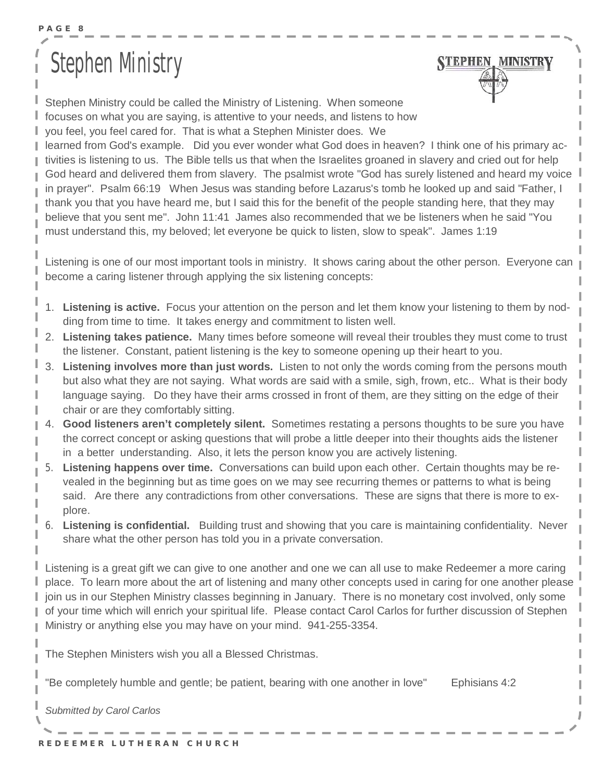## **Stephen Mnistry**



Stephen Ministry could be called the Ministry of Listening. When someone focuses on what you are saying, is attentive to your needs, and listens to how you feel, you feel cared for. That is what a Stephen Minister does. We

learned from God's example. Did you ever wonder what God does in heaven? I think one of his primary activities is listening to us. The Bible tells us that when the Israelites groaned in slavery and cried out for help God heard and delivered them from slavery. The psalmist wrote "God has surely listened and heard my voice in prayer". Psalm 66:19 When Jesus was standing before Lazarus's tomb he looked up and said "Father, I thank you that you have heard me, but I said this for the benefit of the people standing here, that they may believe that you sent me". John 11:41 James also recommended that we be listeners when he said "You must understand this, my beloved; let everyone be quick to listen, slow to speak". James 1:19

Listening is one of our most important tools in ministry. It shows caring about the other person. Everyone can become a caring listener through applying the six listening concepts:

- 1. **Listening is active.** Focus your attention on the person and let them know your listening to them by nodding from time to time. It takes energy and commitment to listen well.
- 2. **Listening takes patience.** Many times before someone will reveal their troubles they must come to trust the listener. Constant, patient listening is the key to someone opening up their heart to you.
- 3. **Listening involves more than just words.** Listen to not only the words coming from the persons mouth but also what they are not saying. What words are said with a smile, sigh, frown, etc.. What is their body language saying. Do they have their arms crossed in front of them, are they sitting on the edge of their chair or are they comfortably sitting.
- 4. **Good listeners aren't completely silent.** Sometimes restating a persons thoughts to be sure you have the correct concept or asking questions that will probe a little deeper into their thoughts aids the listener in a better understanding. Also, it lets the person know you are actively listening.
- 5. **Listening happens over time.** Conversations can build upon each other. Certain thoughts may be revealed in the beginning but as time goes on we may see recurring themes or patterns to what is being said. Are there any contradictions from other conversations. These are signs that there is more to explore.
- 6. **Listening is confidential.** Building trust and showing that you care is maintaining confidentiality. Never share what the other person has told you in a private conversation.

Listening is a great gift we can give to one another and one we can all use to make Redeemer a more caring place. To learn more about the art of listening and many other concepts used in caring for one another please join us in our Stephen Ministry classes beginning in January. There is no monetary cost involved, only some of your time which will enrich your spiritual life. Please contact Carol Carlos for further discussion of Stephen Ministry or anything else you may have on your mind. 941-255-3354.

The Stephen Ministers wish you all a Blessed Christmas.

"Be completely humble and gentle; be patient, bearing with one another in love" Ephisians 4:2

*Submitted by Carol Carlos*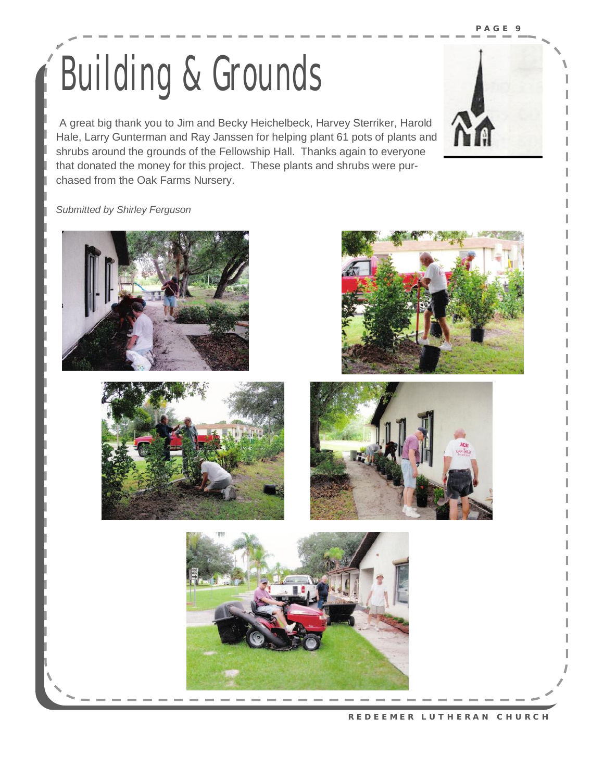## $\sum_{i=1}^{N}$ Building & Grounds

 $T$  , also known as  $\mathcal{M}$  as "Lutheran Women in Missionary Lutheran Women in Mission  $\mathcal{M}$ A great big thank you to Jim and Becky Heichelbeck, Harvey Sterriker, Harold Hale, Larry Gunterman and Ray Janssen for helping plant 61 pots of plants and **Forman lives in a strategier of** shrubs around the grounds of the Fellowship Hall. Thanks again to everyone chased from the Oak Farms Nursery. The convention in Australian in Section 1. Theme in Australian in Section 1 that donated the money for this project. These plants and shrubs were pur-

#### **Submitted by Shirley Ferguson members national behavior of the next two years will be used to year the next two years will be used to use of the next two years will be used to use of the next two years will be used to u**











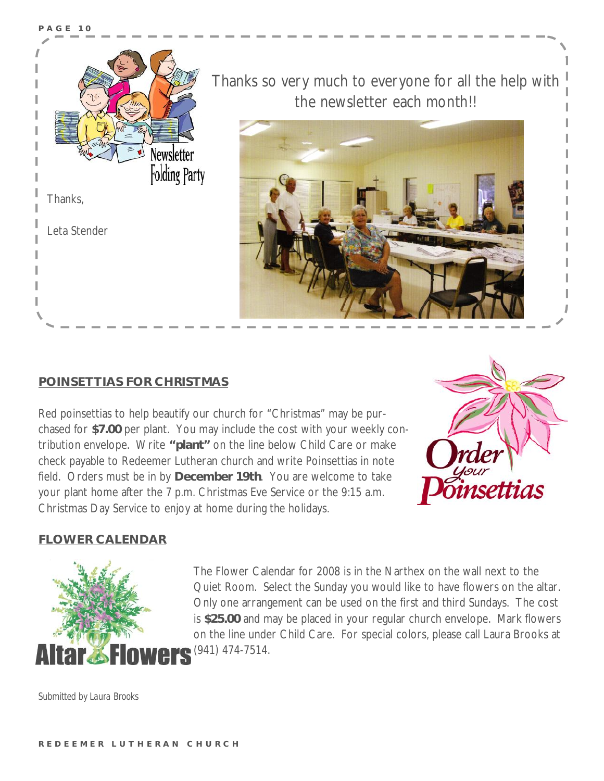

#### **POINSETTIAS FOR CHRISTMAS**

Red poinsettias to help beautify our church for "Christmas" may be purchased for **\$7.00** per plant. You may include the cost with your weekly contribution envelope. Write **"plant"** on the line below Child Care or make check payable to Redeemer Lutheran church and write Poinsettias in note field. Orders must be in by **December 19th**. You are welcome to take your plant home after the 7 p.m. Christmas Eve Service or the 9:15 a.m. Christmas Day Service to enjoy at home during the holidays.



#### **FLOWER CALENDAR**



The Flower Calendar for 2008 is in the Narthex on the wall next to the Quiet Room. Select the Sunday you would like to have flowers on the altar. Only one arrangement can be used on the first and third Sundays. The cost is **\$25.00** and may be placed in your regular church envelope. Mark flowers on the line under Child Care. For special colors, please call Laura Brooks at (941) 474-7514.

*Submitted by Laura Brooks*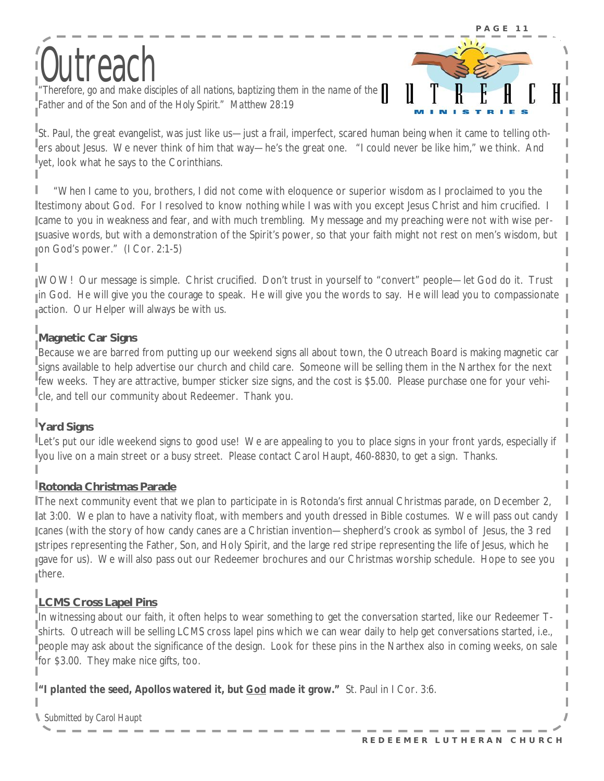# Stephen Ministry Outreach *"Therefore, go and make disciples of all nations, baptizing them in the name of the*

*Father and of the Son and of the Holy Spirit." Matthew 28:19* 



St. Paul, the great evangelist, was just like us—just a frail, imperfect, scared human being when it came to telling others about Jesus. We never think of him that way—he's the great one. "I could never be like him," we think. And yet, look what he says to the Corinthians.

 "When I came to you, brothers, I did not come with eloquence or superior wisdom as I proclaimed to you the testimony about God. For I resolved to know nothing while I was with you except Jesus Christ and him crucified. I came to you in weakness and fear, and with much trembling. My message and my preaching were not with wise persuasive words, but with a demonstration of the Spirit's power, so that your faith might not rest on men's wisdom, but on God's power." (I Cor. 2:1-5)

WOW! Our message is simple. Christ crucified. Don't trust in yourself to "convert" people—let God do it. Trust in God. He will give you the courage to speak. He will give you the words to say. He will lead you to compassionate action. Our Helper will always be with us.

#### **Magnetic Car Signs**

Because we are barred from putting up our weekend signs all about town, the Outreach Board is making magnetic car signs available to help advertise our church and child care. Someone will be selling them in the Narthex for the next few weeks. They are attractive, bumper sticker size signs, and the cost is \$5.00. Please purchase one for your vehicle, and tell our community about Redeemer. Thank you.

#### **Yard Signs**

Let's put our idle weekend signs to good use! We are appealing to you to place signs in your front yards, especially if you live on a main street or a busy street. Please contact Carol Haupt, 460-8830, to get a sign. Thanks.

#### **Rotonda Christmas Parade**

The next community event that we plan to participate in is Rotonda's *first* annual Christmas parade, on December 2, lat 3:00. We plan to have a nativity float, with members and youth dressed in Bible costumes. We will pass out candy canes (with the story of how candy canes are a Christian invention—shepherd's crook as symbol of Jesus, the 3 red stripes representing the Father, Son, and Holy Spirit, and the large red stripe representing the life of Jesus, which he gave for us). We will also pass out our Redeemer brochures and our Christmas worship schedule. Hope to see you there.

#### **LCMS Cross Lapel Pins**

In witnessing about our faith, it often helps to wear something to get the conversation started, like our Redeemer Tshirts. Outreach will be selling LCMS cross lapel pins which we can wear daily to help get conversations started, i.e., people may ask about the significance of the design. Look for these pins in the Narthex also in coming weeks, on sale for \$3.00. They make nice gifts, too.

*"I planted the seed, Apollos watered it, but God made it grow."* St. Paul in I Cor. 3:6.

*Submitted by Carol Haupt*

I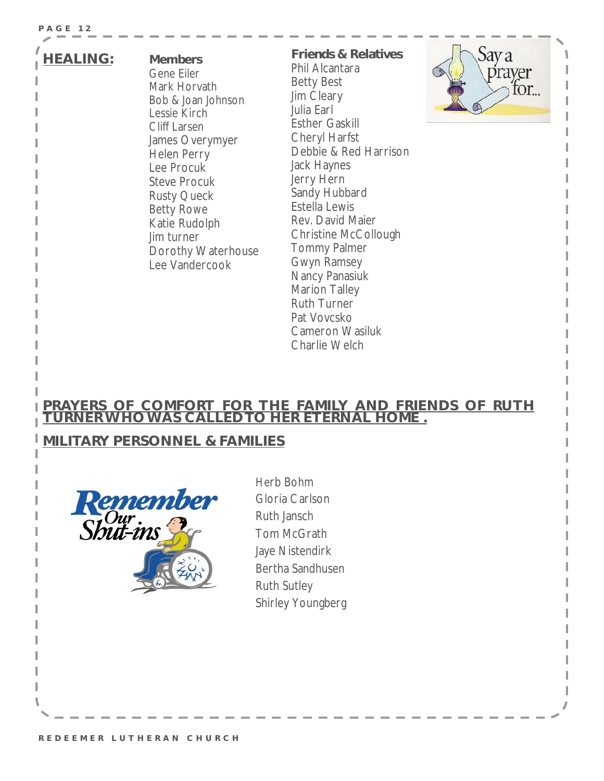#### **P A G E 12**

#### **HEALING: Members**

Gene Eiler Mark Horvath Bob & Joan Johnson Lessie Kirch Cliff Larsen James Overymyer Helen Perry Lee Procuk Steve Procuk Rusty Queck Betty Rowe Katie Rudolph Jim turner Dorothy Waterhouse Lee Vandercook

**Friends & Relatives**  Phil Alcantara Betty Best Jim Cleary Julia Earl Esther Gaskill Cheryl Harfst Debbie & Red Harrison Jack Haynes Jerry Hern Sandy Hubbard Estella Lewis Rev. David Maier Christine McCollough Tommy Palmer Gwyn Ramsey Nancy Panasiuk Marion Talley Ruth Turner Pat Vovcsko Cameron Wasiluk Charlie Welch



#### **PRAYERS OF COMFORT FOR THE FAMILY AND FRIENDS OF RUTH TURNERWHOWAS CALLEDTO HER ETERNAL HOME .**

#### **MILITARY PERSONNEL & FAMILIES**



Herb Bohm Gloria Carlson Ruth Jansch Tom McGrath Jaye Nistendirk Bertha Sandhusen Ruth Sutley Shirley Youngberg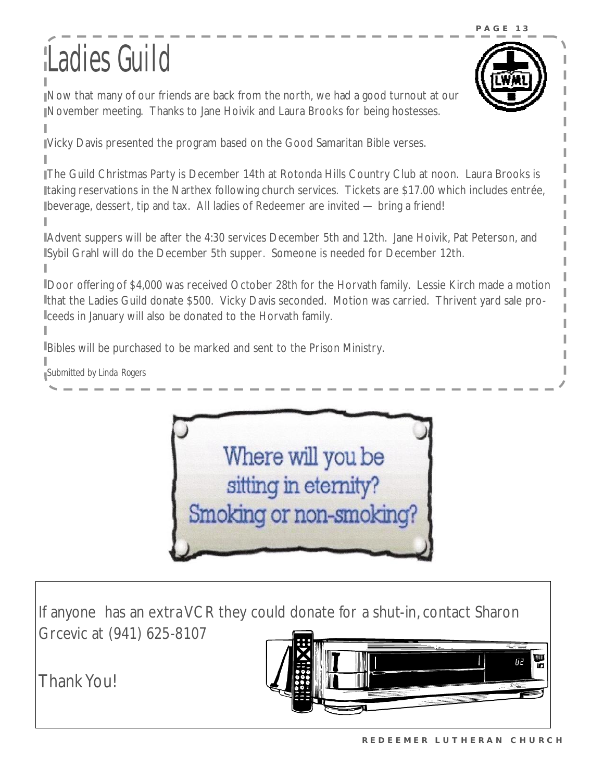## Ladies Guild



Now that many of our friends are back from the north, we had a good turnout at our November meeting. Thanks to Jane Hoivik and Laura Brooks for being hostesses.

Vicky Davis presented the program based on the Good Samaritan Bible verses.

The Guild Christmas Party is December 14th at Rotonda Hills Country Club at noon. Laura Brooks is taking reservations in the Narthex following church services. Tickets are \$17.00 which includes entrée, beverage, dessert, tip and tax. All ladies of Redeemer are invited — bring a friend!

Advent suppers will be after the 4:30 services December 5th and 12th. Jane Hoivik, Pat Peterson, and Sybil Grahl will do the December 5th supper. Someone is needed for December 12th.

Door offering of \$4,000 was received October 28th for the Horvath family. Lessie Kirch made a motion that the Ladies Guild donate \$500. Vicky Davis seconded. Motion was carried. Thrivent yard sale proceeds in January will also be donated to the Horvath family.

Bibles will be purchased to be marked and sent to the Prison Ministry.

*Submitted by Linda Rogers* 



If anyone has an extraVCR they could donate for a shut-in, contact Sharon Grcevic at (941) 625-8107

**Thank You!** 

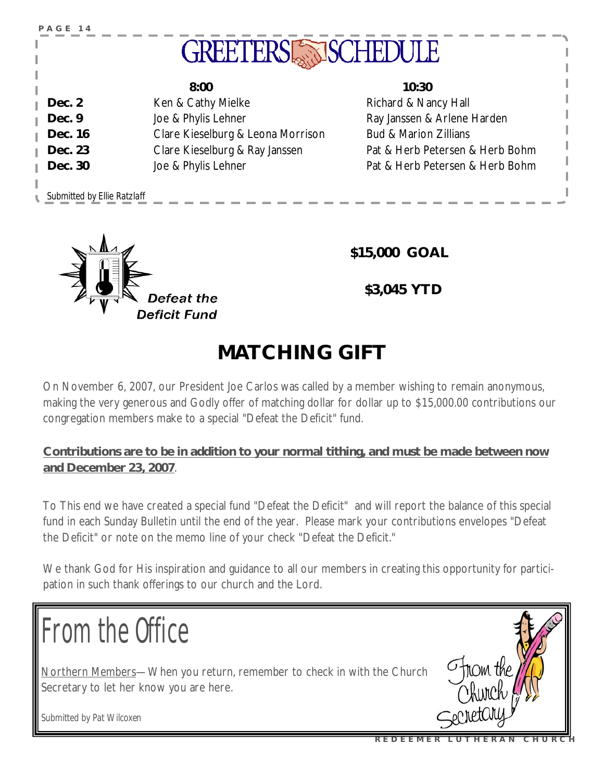| PAGE 14                     | <b>GREETERSLESS</b>               | SCHEDULE                         |
|-----------------------------|-----------------------------------|----------------------------------|
|                             | 8:00                              | 10:30                            |
| Dec. 2                      | Ken & Cathy Mielke                | Richard & Nancy Hall             |
| Dec. 9                      | Joe & Phylis Lehner               | Ray Janssen & Arlene Harden      |
| Dec. 16                     | Clare Kieselburg & Leona Morrison | <b>Bud &amp; Marion Zillians</b> |
| Dec. 23                     | Clare Kieselburg & Ray Janssen    | Pat & Herb Petersen & Herb Bohm  |
| Dec. 30                     | Joe & Phylis Lehner               | Pat & Herb Petersen & Herb Bohm  |
|                             |                                   |                                  |
| Submitted by Ellie Ratzlaff |                                   |                                  |



**\$15,000 GOAL** 

 **\$3,045 YTD** 

### **MATCHING GIFT**

On November 6, 2007, our President Joe Carlos was called by a member wishing to remain anonymous, making the very generous and Godly offer of matching dollar for dollar up to \$15,000.00 contributions our congregation members make to a special "Defeat the Deficit" fund.

**Contributions are to be in addition to your normal tithing, and must be made between now and December 23, 2007**.

To This end we have created a special fund "Defeat the Deficit" and will report the balance of this special fund in each Sunday Bulletin until the end of the year. Please mark your contributions envelopes "Defeat the Deficit" or note on the memo line of your check "Defeat the Deficit."

We thank God for His inspiration and guidance to all our members in creating this opportunity for participation in such thank offerings to our church and the Lord.